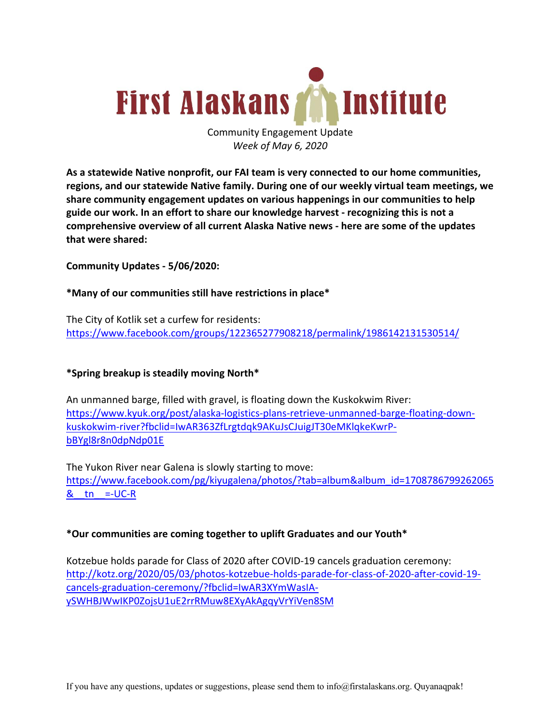

Community Engagement Update *Week of May 6, 2020*

**As a statewide Native nonprofit, our FAI team is very connected to our home communities, regions, and our statewide Native family. During one of our weekly virtual team meetings, we share community engagement updates on various happenings in our communities to help guide our work. In an effort to share our knowledge harvest - recognizing this is not a comprehensive overview of all current Alaska Native news - here are some of the updates that were shared:**

**Community Updates - 5/06/2020:**

#### **\*Many of our communities still have restrictions in place\***

The City of Kotlik set a curfew for residents: https://www.facebook.com/groups/122365277908218/permalink/1986142131530514/

## **\*Spring breakup is steadily moving North\***

An unmanned barge, filled with gravel, is floating down the Kuskokwim River: https://www.kyuk.org/post/alaska-logistics-plans-retrieve-unmanned-barge-floating-downkuskokwim-river?fbclid=IwAR363ZfLrgtdqk9AKuJsCJuigJT30eMKlqkeKwrPbBYgl8r8n0dpNdp01E

The Yukon River near Galena is slowly starting to move: https://www.facebook.com/pg/kiyugalena/photos/?tab=album&album\_id=1708786799262065  $&$  tn =-UC-R

#### **\*Our communities are coming together to uplift Graduates and our Youth\***

Kotzebue holds parade for Class of 2020 after COVID-19 cancels graduation ceremony: http://kotz.org/2020/05/03/photos-kotzebue-holds-parade-for-class-of-2020-after-covid-19 cancels-graduation-ceremony/?fbclid=IwAR3XYmWasIAySWHBJWwIKP0ZojsU1uE2rrRMuw8EXyAkAgqyVrYiVen8SM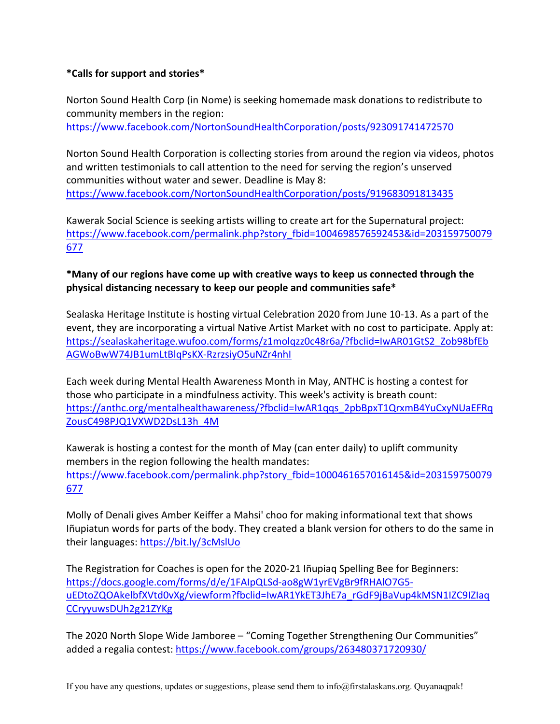## **\*Calls for support and stories\***

Norton Sound Health Corp (in Nome) is seeking homemade mask donations to redistribute to community members in the region:

https://www.facebook.com/NortonSoundHealthCorporation/posts/923091741472570

Norton Sound Health Corporation is collecting stories from around the region via videos, photos and written testimonials to call attention to the need for serving the region's unserved communities without water and sewer. Deadline is May 8: https://www.facebook.com/NortonSoundHealthCorporation/posts/919683091813435

Kawerak Social Science is seeking artists willing to create art for the Supernatural project: https://www.facebook.com/permalink.php?story\_fbid=1004698576592453&id=203159750079 677

# **\*Many of our regions have come up with creative ways to keep us connected through the physical distancing necessary to keep our people and communities safe\***

Sealaska Heritage Institute is hosting virtual Celebration 2020 from June 10-13. As a part of the event, they are incorporating a virtual Native Artist Market with no cost to participate. Apply at: https://sealaskaheritage.wufoo.com/forms/z1molqzz0c48r6a/?fbclid=IwAR01GtS2\_Zob98bfEb AGWoBwW74JB1umLtBlqPsKX-RzrzsiyO5uNZr4nhI

Each week during Mental Health Awareness Month in May, ANTHC is hosting a contest for those who participate in a mindfulness activity. This week's activity is breath count: https://anthc.org/mentalhealthawareness/?fbclid=IwAR1qqs\_2pbBpxT1QrxmB4YuCxyNUaEFRq ZousC498PJQ1VXWD2DsL13h\_4M

Kawerak is hosting a contest for the month of May (can enter daily) to uplift community members in the region following the health mandates: https://www.facebook.com/permalink.php?story\_fbid=1000461657016145&id=203159750079 677

Molly of Denali gives Amber Keiffer a Mahsi' choo for making informational text that shows Iñupiatun words for parts of the body. They created a blank version for others to do the same in their languages: https://bit.ly/3cMslUo

The Registration for Coaches is open for the 2020-21 Iñupiaq Spelling Bee for Beginners: https://docs.google.com/forms/d/e/1FAIpQLSd-ao8gW1yrEVgBr9fRHAlO7G5 uEDtoZQOAkelbfXVtd0vXg/viewform?fbclid=IwAR1YkET3JhE7a\_rGdF9jBaVup4kMSN1IZC9IZIaq CCryyuwsDUh2g21ZYKg

The 2020 North Slope Wide Jamboree – "Coming Together Strengthening Our Communities" added a regalia contest: https://www.facebook.com/groups/263480371720930/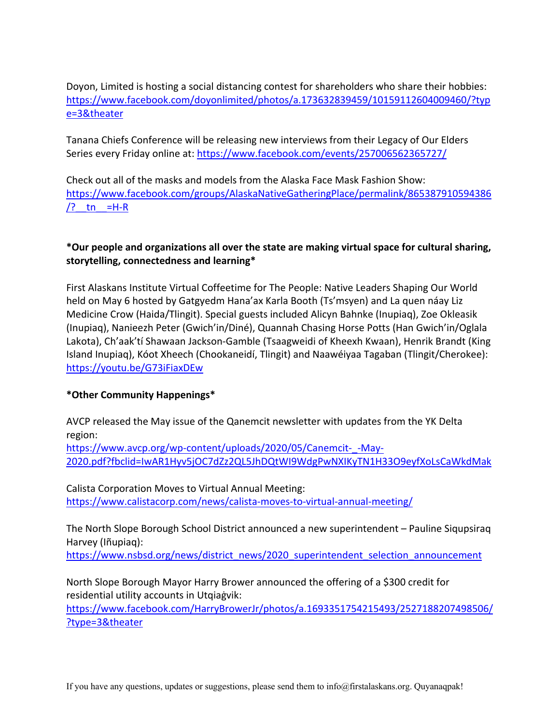Doyon, Limited is hosting a social distancing contest for shareholders who share their hobbies: https://www.facebook.com/doyonlimited/photos/a.173632839459/10159112604009460/?typ e=3&theater

Tanana Chiefs Conference will be releasing new interviews from their Legacy of Our Elders Series every Friday online at: https://www.facebook.com/events/257006562365727/

Check out all of the masks and models from the Alaska Face Mask Fashion Show: https://www.facebook.com/groups/AlaskaNativeGatheringPlace/permalink/865387910594386 /? tn = $H-R$ 

## **\*Our people and organizations all over the state are making virtual space for cultural sharing, storytelling, connectedness and learning\***

First Alaskans Institute Virtual Coffeetime for The People: Native Leaders Shaping Our World held on May 6 hosted by Gatgyedm Hana'ax Karla Booth (Ts'msyen) and La quen náay Liz Medicine Crow (Haida/Tlingit). Special guests included Alicyn Bahnke (Inupiaq), Zoe Okleasik (Inupiaq), Nanieezh Peter (Gwich'in/Diné), Quannah Chasing Horse Potts (Han Gwich'in/Oglala Lakota), Ch'aak'tí Shawaan Jackson-Gamble (Tsaagweidi of Kheexh Kwaan), Henrik Brandt (King Island Inupiaq), Kóot Xheech (Chookaneidí, Tlingit) and Naawéiyaa Tagaban (Tlingit/Cherokee): https://youtu.be/G73iFiaxDEw

## **\*Other Community Happenings\***

AVCP released the May issue of the Qanemcit newsletter with updates from the YK Delta region:

https://www.avcp.org/wp-content/uploads/2020/05/Canemcit-\_-May-2020.pdf?fbclid=IwAR1Hyv5jOC7dZz2QL5JhDQtWI9WdgPwNXIKyTN1H33O9eyfXoLsCaWkdMak

Calista Corporation Moves to Virtual Annual Meeting: https://www.calistacorp.com/news/calista-moves-to-virtual-annual-meeting/

The North Slope Borough School District announced a new superintendent – Pauline Siqupsiraq Harvey (Iñupiaq):

https://www.nsbsd.org/news/district\_news/2020\_superintendent\_selection\_announcement

North Slope Borough Mayor Harry Brower announced the offering of a \$300 credit for residential utility accounts in Utqiaġvik:

https://www.facebook.com/HarryBrowerJr/photos/a.1693351754215493/2527188207498506/ ?type=3&theater